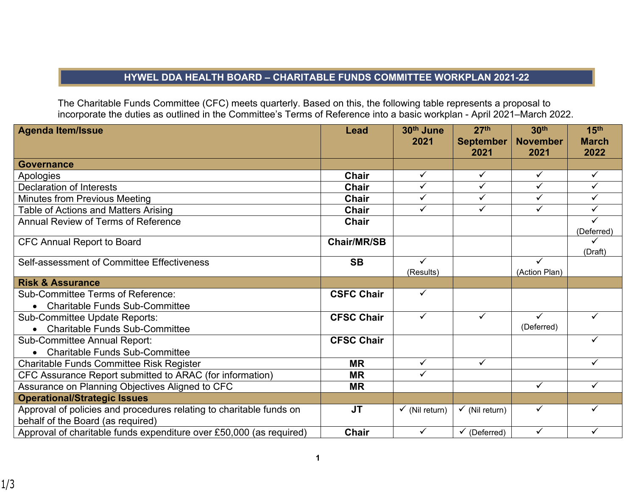## **HYWEL DDA HEALTH BOARD – CHARITABLE FUNDS COMMITTEE WORKPLAN 2021-22**

The Charitable Funds Committee (CFC) meets quarterly. Based on this, the following table represents a proposal to incorporate the duties as outlined in the Committee's Terms of Reference into a basic workplan - April 2021–March 2022.

| <b>Agenda Item/Issue</b>                                                                                 | Lead               | 30 <sup>th</sup> June<br>2021 | 27 <sup>th</sup><br><b>September</b><br>2021 | 30 <sup>th</sup><br><b>November</b><br>2021 | 15 <sup>th</sup><br><b>March</b><br>2022 |
|----------------------------------------------------------------------------------------------------------|--------------------|-------------------------------|----------------------------------------------|---------------------------------------------|------------------------------------------|
| <b>Governance</b>                                                                                        |                    |                               |                                              |                                             |                                          |
| Apologies                                                                                                | <b>Chair</b>       | $\checkmark$                  | $\checkmark$                                 | $\checkmark$                                | $\checkmark$                             |
| <b>Declaration of Interests</b>                                                                          | <b>Chair</b>       | $\overline{\checkmark}$       | $\checkmark$                                 | $\overline{\checkmark}$                     | ✓                                        |
| <b>Minutes from Previous Meeting</b>                                                                     | Chair              | $\checkmark$                  | ✓                                            | ✓                                           | ✓                                        |
| Table of Actions and Matters Arising                                                                     | <b>Chair</b>       | $\checkmark$                  | ✓                                            | $\checkmark$                                | ✓                                        |
| <b>Annual Review of Terms of Reference</b>                                                               | Chair              |                               |                                              |                                             | (Deferred)                               |
| <b>CFC Annual Report to Board</b>                                                                        | <b>Chair/MR/SB</b> |                               |                                              |                                             | (Draft)                                  |
| Self-assessment of Committee Effectiveness                                                               | <b>SB</b>          | $\checkmark$<br>(Results)     |                                              | ✓<br>(Action Plan)                          |                                          |
| <b>Risk &amp; Assurance</b>                                                                              |                    |                               |                                              |                                             |                                          |
| <b>Sub-Committee Terms of Reference:</b>                                                                 | <b>CSFC Chair</b>  | $\checkmark$                  |                                              |                                             |                                          |
| <b>Charitable Funds Sub-Committee</b><br>$\bullet$                                                       |                    |                               |                                              |                                             |                                          |
| <b>Sub-Committee Update Reports:</b>                                                                     | <b>CFSC Chair</b>  | $\checkmark$                  | $\checkmark$                                 | $\checkmark$                                | ✓                                        |
| <b>Charitable Funds Sub-Committee</b>                                                                    |                    |                               |                                              | (Deferred)                                  |                                          |
| <b>Sub-Committee Annual Report:</b>                                                                      | <b>CFSC Chair</b>  |                               |                                              |                                             | ✓                                        |
| <b>Charitable Funds Sub-Committee</b><br>$\bullet$                                                       |                    |                               |                                              |                                             |                                          |
| Charitable Funds Committee Risk Register                                                                 | <b>MR</b>          | $\checkmark$                  | $\checkmark$                                 |                                             | ✓                                        |
| CFC Assurance Report submitted to ARAC (for information)                                                 | <b>MR</b>          | $\checkmark$                  |                                              |                                             |                                          |
| Assurance on Planning Objectives Aligned to CFC                                                          | <b>MR</b>          |                               |                                              | ✓                                           | ✓                                        |
| <b>Operational/Strategic Issues</b>                                                                      |                    |                               |                                              |                                             |                                          |
| Approval of policies and procedures relating to charitable funds on<br>behalf of the Board (as required) | <b>JT</b>          | $\checkmark$ (Nil return)     | $\checkmark$ (Nil return)                    | $\checkmark$                                | $\checkmark$                             |
| Approval of charitable funds expenditure over £50,000 (as required)                                      | <b>Chair</b>       | ✓                             | $\checkmark$ (Deferred)                      | $\checkmark$                                | ✓                                        |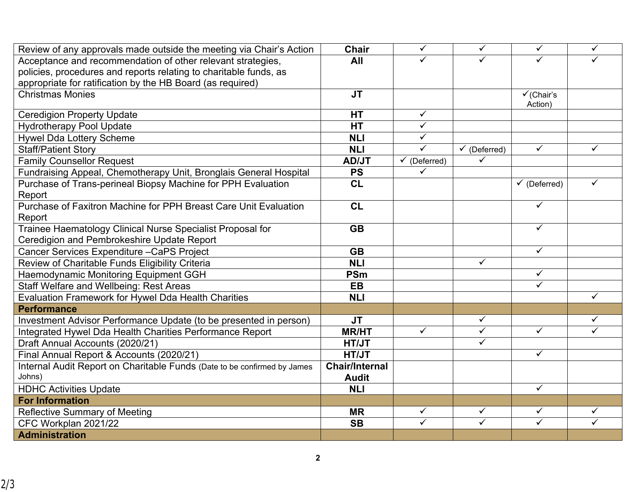| Review of any approvals made outside the meeting via Chair's Action      | <b>Chair</b>          | $\overline{\checkmark}$ | $\checkmark$            | $\overline{\checkmark}$ | $\checkmark$ |
|--------------------------------------------------------------------------|-----------------------|-------------------------|-------------------------|-------------------------|--------------|
| Acceptance and recommendation of other relevant strategies,              | All                   | ✓                       |                         |                         |              |
| policies, procedures and reports relating to charitable funds, as        |                       |                         |                         |                         |              |
| appropriate for ratification by the HB Board (as required)               |                       |                         |                         |                         |              |
| <b>Christmas Monies</b>                                                  | <b>JT</b>             |                         |                         | $\checkmark$ (Chair's   |              |
|                                                                          |                       |                         |                         | Action)                 |              |
| <b>Ceredigion Property Update</b>                                        | <b>HT</b>             | $\checkmark$            |                         |                         |              |
| <b>Hydrotherapy Pool Update</b>                                          | <b>HT</b>             | $\checkmark$            |                         |                         |              |
| <b>Hywel Dda Lottery Scheme</b>                                          | <b>NLI</b>            | $\overline{\checkmark}$ |                         |                         |              |
| <b>Staff/Patient Story</b>                                               | <b>NLI</b>            | $\checkmark$            | $\checkmark$ (Deferred) | $\checkmark$            | ✓            |
| <b>Family Counsellor Request</b>                                         | <b>AD/JT</b>          | $\checkmark$ (Deferred) | ✓                       |                         |              |
| Fundraising Appeal, Chemotherapy Unit, Bronglais General Hospital        | <b>PS</b>             | ✓                       |                         |                         |              |
| Purchase of Trans-perineal Biopsy Machine for PPH Evaluation             | CL                    |                         |                         | $\checkmark$ (Deferred) |              |
| Report                                                                   |                       |                         |                         |                         |              |
| Purchase of Faxitron Machine for PPH Breast Care Unit Evaluation         | CL                    |                         |                         | $\checkmark$            |              |
| Report                                                                   |                       |                         |                         |                         |              |
| Trainee Haematology Clinical Nurse Specialist Proposal for               | <b>GB</b>             |                         |                         | $\checkmark$            |              |
| Ceredigion and Pembrokeshire Update Report                               |                       |                         |                         |                         |              |
| Cancer Services Expenditure - CaPS Project                               | <b>GB</b>             |                         |                         | $\checkmark$            |              |
| Review of Charitable Funds Eligibility Criteria                          | <b>NLI</b>            |                         | $\checkmark$            |                         |              |
| Haemodynamic Monitoring Equipment GGH                                    | <b>PSm</b>            |                         |                         | $\checkmark$            |              |
| Staff Welfare and Wellbeing: Rest Areas                                  | <b>EB</b>             |                         |                         | $\overline{\checkmark}$ |              |
| <b>Evaluation Framework for Hywel Dda Health Charities</b>               | <b>NLI</b>            |                         |                         |                         | ✓            |
| <b>Performance</b>                                                       |                       |                         |                         |                         |              |
| Investment Advisor Performance Update (to be presented in person)        | <b>JT</b>             |                         | $\checkmark$            |                         | ✓            |
| Integrated Hywel Dda Health Charities Performance Report                 | <b>MR/HT</b>          | $\checkmark$            | $\checkmark$            | $\checkmark$            | ✓            |
| Draft Annual Accounts (2020/21)                                          | HT/JT                 |                         | $\checkmark$            |                         |              |
| Final Annual Report & Accounts (2020/21)                                 | <b>HT/JT</b>          |                         |                         | $\overline{\checkmark}$ |              |
| Internal Audit Report on Charitable Funds (Date to be confirmed by James | <b>Chair/Internal</b> |                         |                         |                         |              |
| Johns)                                                                   | <b>Audit</b>          |                         |                         |                         |              |
| <b>HDHC Activities Update</b>                                            | <b>NLI</b>            |                         |                         | $\checkmark$            |              |
| <b>For Information</b>                                                   |                       |                         |                         |                         |              |
| <b>Reflective Summary of Meeting</b>                                     | <b>MR</b>             | $\checkmark$            | $\checkmark$            | $\checkmark$            | ✓            |
| CFC Workplan 2021/22                                                     | <b>SB</b>             | $\checkmark$            | $\checkmark$            | $\checkmark$            | $\checkmark$ |
| <b>Administration</b>                                                    |                       |                         |                         |                         |              |